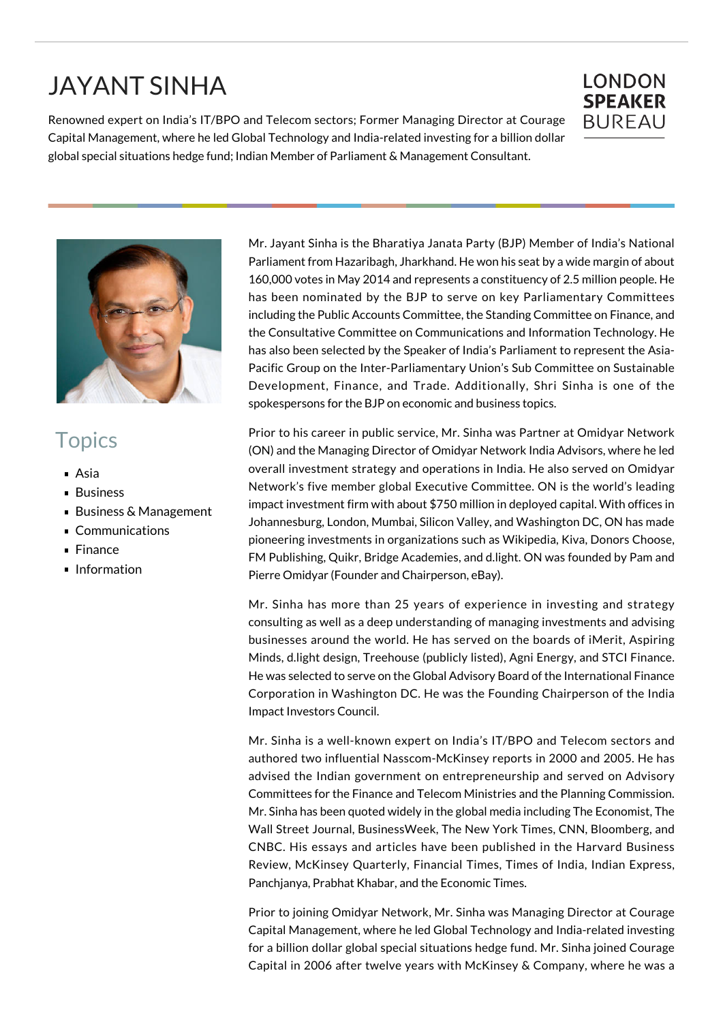## JAYANT SINHA

Renowned expert on India's IT/BPO and Telecom sectors; Former Managing Director at Courage Capital Management, where he led Global Technology and India-related investing for a billion dollar global special situations hedge fund; Indian Member of Parliament & Management Consultant.





## **Topics**

- Asia
- Business
- Business & Management
- Communications
- Finance
- **Information**

Mr. Jayant Sinha is the Bharatiya Janata Party (BJP) Member of India's National Parliament from Hazaribagh, Jharkhand. He won his seat by a wide margin of about 160,000 votes in May 2014 and represents a constituency of 2.5 million people. He has been nominated by the BJP to serve on key Parliamentary Committees including the Public Accounts Committee, the Standing Committee on Finance, and the Consultative Committee on Communications and Information Technology. He has also been selected by the Speaker of India's Parliament to represent the Asia-Pacific Group on the Inter-Parliamentary Union's Sub Committee on Sustainable Development, Finance, and Trade. Additionally, Shri Sinha is one of the spokespersons for the BJP on economic and business topics.

Prior to his career in public service, Mr. Sinha was Partner at Omidyar Network (ON) and the Managing Director of Omidyar Network India Advisors, where he led overall investment strategy and operations in India. He also served on Omidyar Network's five member global Executive Committee. ON is the world's leading impact investment firm with about \$750 million in deployed capital. With offices in Johannesburg, London, Mumbai, Silicon Valley, and Washington DC, ON has made pioneering investments in organizations such as Wikipedia, Kiva, Donors Choose, FM Publishing, Quikr, Bridge Academies, and d.light. ON was founded by Pam and Pierre Omidyar (Founder and Chairperson, eBay).

Mr. Sinha has more than 25 years of experience in investing and strategy consulting as well as a deep understanding of managing investments and advising businesses around the world. He has served on the boards of iMerit, Aspiring Minds, d.light design, Treehouse (publicly listed), Agni Energy, and STCI Finance. He was selected to serve on the Global Advisory Board of the International Finance Corporation in Washington DC. He was the Founding Chairperson of the India Impact Investors Council.

Mr. Sinha is a well-known expert on India's IT/BPO and Telecom sectors and authored two influential Nasscom-McKinsey reports in 2000 and 2005. He has advised the Indian government on entrepreneurship and served on Advisory Committees for the Finance and Telecom Ministries and the Planning Commission. Mr. Sinha has been quoted widely in the global media including The Economist, The Wall Street Journal, BusinessWeek, The New York Times, CNN, Bloomberg, and CNBC. His essays and articles have been published in the Harvard Business Review, McKinsey Quarterly, Financial Times, Times of India, Indian Express, Panchjanya, Prabhat Khabar, and the Economic Times.

Prior to joining Omidyar Network, Mr. Sinha was Managing Director at Courage Capital Management, where he led Global Technology and India-related investing for a billion dollar global special situations hedge fund. Mr. Sinha joined Courage Capital in 2006 after twelve years with McKinsey & Company, where he was a